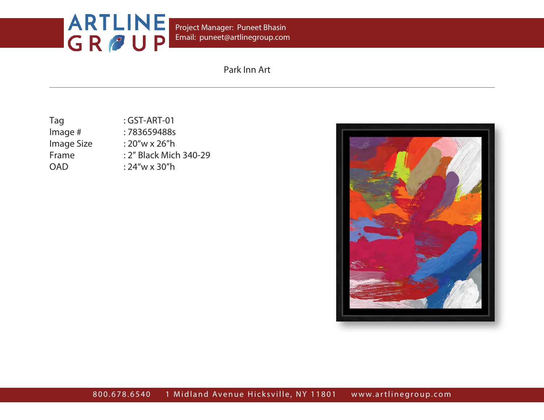Email: puneet@artlinegroup.com Project Manager: Puneet Bhasin

| Tag        | $:$ GST-ART-01         |
|------------|------------------------|
| lmage #    | :783659488s            |
| Image Size | $:20''$ w x 26"h       |
| Frame      | : 2" Black Mich 340-29 |
| OAD        | $:24''w \times 30''h$  |
|            |                        |

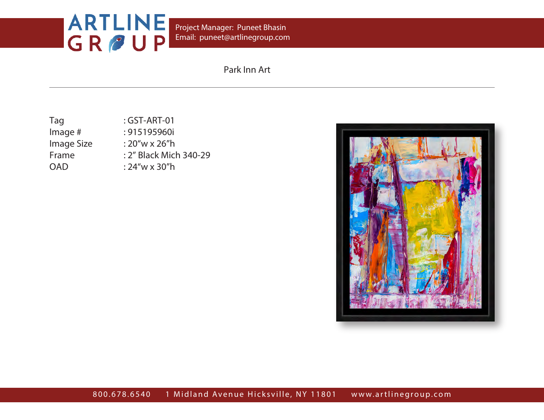Email: puneet@artlinegroup.com Project Manager: Puneet Bhasin

| $:$ GST-ART-01         |
|------------------------|
| : 915195960i           |
| $:20''$ w x 26"h       |
| : 2" Black Mich 340-29 |
| $:24''w \times 30''h$  |
|                        |

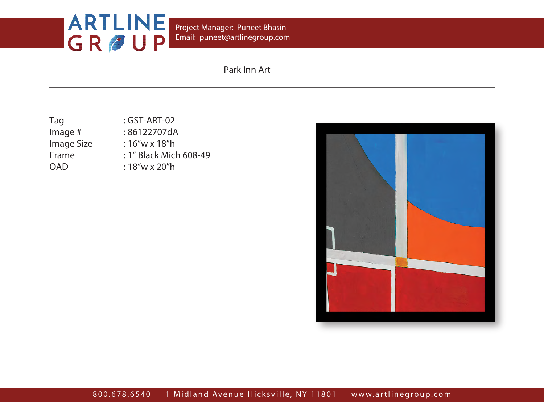Email: puneet@artlinegroup.com Project Manager: Puneet Bhasin

| Tag        | $:$ GST-ART-02         |
|------------|------------------------|
| Image $#$  | :86122707dA            |
| Image Size | $:16''$ w x 18"h       |
| Frame      | : 1" Black Mich 608-49 |
| <b>OAD</b> | $:18''$ w x 20"h       |
|            |                        |

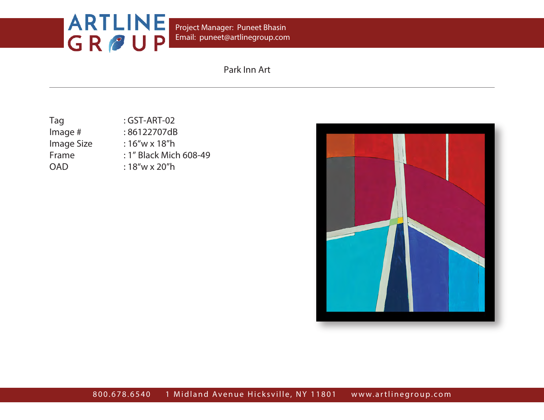Email: puneet@artlinegroup.com Project Manager: Puneet Bhasin

| Tag        | $:$ GST-ART-02         |
|------------|------------------------|
| Image $#$  | :86122707dB            |
| Image Size | $:16''$ w x 18"h       |
| Frame      | : 1" Black Mich 608-49 |
| <b>OAD</b> | $:18''$ w x 20"h       |
|            |                        |

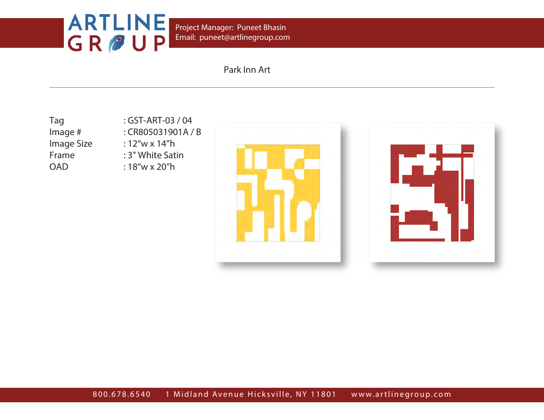Email: puneet@artlinegroup.com Project Manager: Puneet Bhasin

## Park Inn Art

Tag : GST-ART-03 / 04 Image # : CR805031901A / B Image Size : 12"w x 14"h Frame : 3" White Satin OAD : 18"w x 20"h



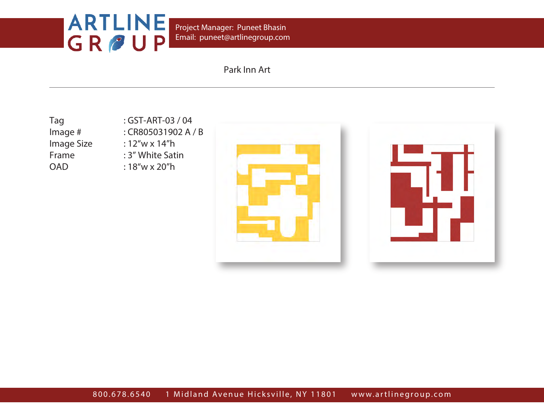Email: puneet@artlinegroup.com Project Manager: Puneet Bhasin

## Park Inn Art

Tag : GST-ART-03 / 04

Image # : CR805031902 A / B Image Size : 12"w x 14"h Frame : 3" White Satin OAD : 18"w x 20"h



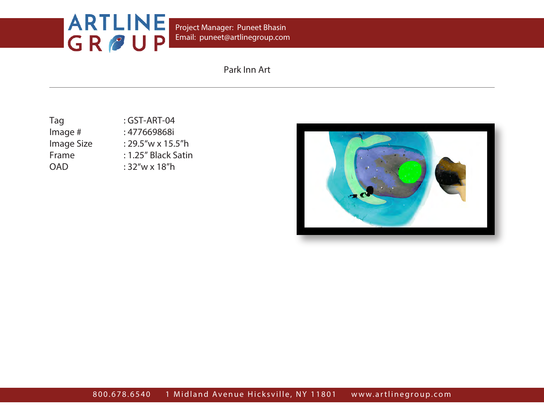Email: puneet@artlinegroup.com Project Manager: Puneet Bhasin

| Tag        | : GST-ART-04         |
|------------|----------------------|
| Image $#$  | : 477669868i         |
| Image Size | $:29.5''$ w x 15.5"h |
| Frame      | : 1.25" Black Satin  |
| <b>OAD</b> | $:32''$ w x 18"h     |
|            |                      |